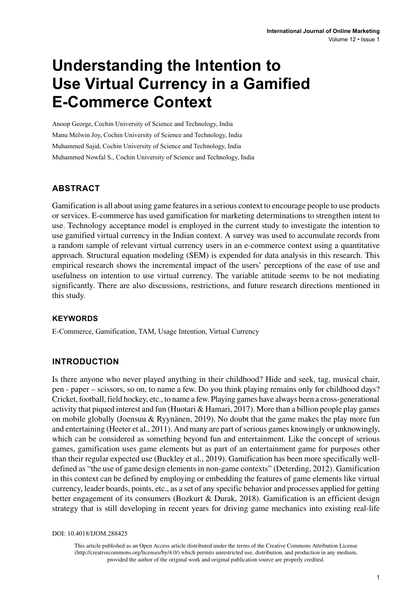# **Understanding the Intention to Use Virtual Currency in a Gamified E-Commerce Context**

Anoop George, Cochin University of Science and Technology, India Manu Melwin Joy, Cochin University of Science and Technology, India Muhammed Sajid, Cochin University of Science and Technology, India Muhammed Nowfal S., Cochin University of Science and Technology, India

### **ABSTRACT**

Gamification is all about using game features in a serious context to encourage people to use products or services. E-commerce has used gamification for marketing determinations to strengthen intent to use. Technology acceptance model is employed in the current study to investigate the intention to use gamified virtual currency in the Indian context. A survey was used to accumulate records from a random sample of relevant virtual currency users in an e-commerce context using a quantitative approach. Structural equation modeling (SEM) is expended for data analysis in this research. This empirical research shows the incremental impact of the users' perceptions of the ease of use and usefulness on intention to use virtual currency. The variable attitude seems to be not mediating significantly. There are also discussions, restrictions, and future research directions mentioned in this study.

#### **Keywords**

E-Commerce, Gamification, TAM, Usage Intention, Virtual Currency

#### **INTRODUCTION**

Is there anyone who never played anything in their childhood? Hide and seek, tag, musical chair, pen - paper – scissors, so on, to name a few. Do you think playing remains only for childhood days? Cricket, football, field hockey, etc., to name a few. Playing games have always been a cross-generational activity that piqued interest and fun (Huotari & Hamari, 2017). More than a billion people play games on mobile globally (Joensuu & Ryynänen, 2019). No doubt that the game makes the play more fun and entertaining (Heeter et al., 2011). And many are part of serious games knowingly or unknowingly, which can be considered as something beyond fun and entertainment. Like the concept of serious games, gamification uses game elements but as part of an entertainment game for purposes other than their regular expected use (Buckley et al., 2019). Gamification has been more specifically welldefined as "the use of game design elements in non-game contexts" (Deterding, 2012). Gamification in this context can be defined by employing or embedding the features of game elements like virtual currency, leader boards, points, etc., as a set of any specific behavior and processes applied for getting better engagement of its consumers (Bozkurt & Durak, 2018). Gamification is an efficient design strategy that is still developing in recent years for driving game mechanics into existing real-life

DOI: 10.4018/IJOM.288425

This article published as an Open Access article distributed under the terms of the Creative Commons Attribution License (http://creativecommons.org/licenses/by/4.0/) which permits unrestricted use, distribution, and production in any medium, provided the author of the original work and original publication source are properly credited.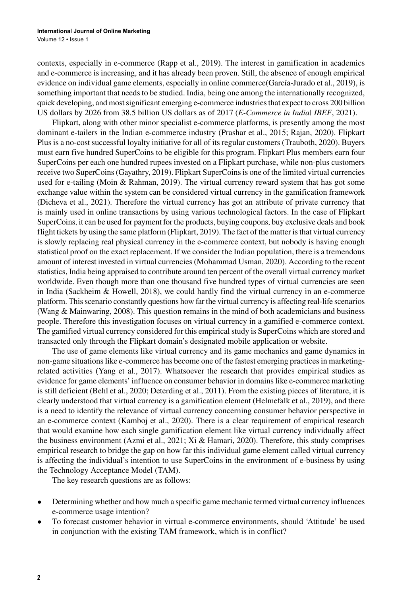contexts, especially in e-commerce (Rapp et al., 2019). The interest in gamification in academics and e-commerce is increasing, and it has already been proven. Still, the absence of enough empirical evidence on individual game elements, especially in online commerce(García-Jurado et al., 2019), is something important that needs to be studied. India, being one among the internationally recognized, quick developing, and most significant emerging e-commerce industries that expect to cross 200 billion US dollars by 2026 from 38.5 billion US dollars as of 2017 (*E-Commerce in India| IBEF*, 2021).

Flipkart, along with other minor specialist e-commerce platforms, is presently among the most dominant e-tailers in the Indian e-commerce industry (Prashar et al., 2015; Rajan, 2020). Flipkart Plus is a no-cost successful loyalty initiative for all of its regular customers (Trauboth, 2020). Buyers must earn five hundred SuperCoins to be eligible for this program. Flipkart Plus members earn four SuperCoins per each one hundred rupees invested on a Flipkart purchase, while non-plus customers receive two SuperCoins (Gayathry, 2019). Flipkart SuperCoins is one of the limited virtual currencies used for e-tailing (Moin & Rahman, 2019). The virtual currency reward system that has got some exchange value within the system can be considered virtual currency in the gamification framework (Dicheva et al., 2021). Therefore the virtual currency has got an attribute of private currency that is mainly used in online transactions by using various technological factors. In the case of Flipkart SuperCoins, it can be used for payment for the products, buying coupons, buy exclusive deals and book flight tickets by using the same platform (Flipkart, 2019). The fact of the matter is that virtual currency is slowly replacing real physical currency in the e-commerce context, but nobody is having enough statistical proof on the exact replacement. If we consider the Indian population, there is a tremendous amount of interest invested in virtual currencies (Mohammad Usman, 2020). According to the recent statistics, India being appraised to contribute around ten percent of the overall virtual currency market worldwide. Even though more than one thousand five hundred types of virtual currencies are seen in India (Sackheim & Howell, 2018), we could hardly find the virtual currency in an e-commerce platform. This scenario constantly questions how far the virtual currency is affecting real-life scenarios (Wang & Mainwaring, 2008). This question remains in the mind of both academicians and business people. Therefore this investigation focuses on virtual currency in a gamified e-commerce context. The gamified virtual currency considered for this empirical study is SuperCoins which are stored and transacted only through the Flipkart domain's designated mobile application or website.

The use of game elements like virtual currency and its game mechanics and game dynamics in non-game situations like e-commerce has become one of the fastest emerging practices in marketingrelated activities (Yang et al., 2017). Whatsoever the research that provides empirical studies as evidence for game elements' influence on consumer behavior in domains like e-commerce marketing is still deficient (Behl et al., 2020; Deterding et al., 2011). From the existing pieces of literature, it is clearly understood that virtual currency is a gamification element (Helmefalk et al., 2019), and there is a need to identify the relevance of virtual currency concerning consumer behavior perspective in an e-commerce context (Kamboj et al., 2020). There is a clear requirement of empirical research that would examine how each single gamification element like virtual currency individually affect the business environment (Azmi et al., 2021; Xi & Hamari, 2020). Therefore, this study comprises empirical research to bridge the gap on how far this individual game element called virtual currency is affecting the individual's intention to use SuperCoins in the environment of e-business by using the Technology Acceptance Model (TAM).

The key research questions are as follows:

- Determining whether and how much a specific game mechanic termed virtual currency influences e-commerce usage intention?
- To forecast customer behavior in virtual e-commerce environments, should 'Attitude' be used in conjunction with the existing TAM framework, which is in conflict?